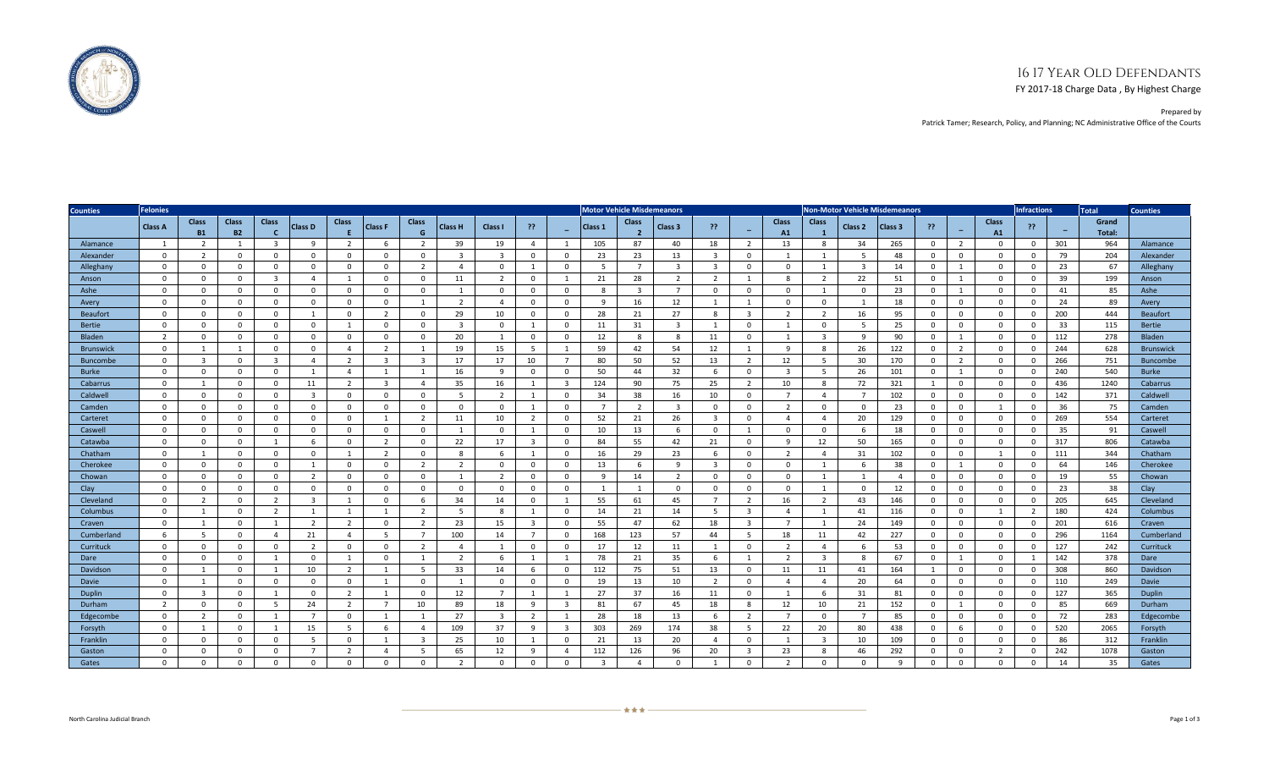## 16 17 Year Old Defendants

FY 2017-18 Charge Data , By Highest Charge



Prepared by Patrick Tamer; Research, Policy, and Planning; NC Administrative Office of the Courts

| <b>Counties</b>  | <b>Felonies</b> |                           |                           |                              |                |                |                |                         |                |                | <b>Motor Vehicle Misdemeanors</b> |                |                |                         |                         | <b>Non-Motor Vehicle Misdemeanors</b> |                         |                        |                         |                |                |                | <b>Infractions</b>       | <b>Total</b>       | <b>Counties</b> |                          |                 |                  |
|------------------|-----------------|---------------------------|---------------------------|------------------------------|----------------|----------------|----------------|-------------------------|----------------|----------------|-----------------------------------|----------------|----------------|-------------------------|-------------------------|---------------------------------------|-------------------------|------------------------|-------------------------|----------------|----------------|----------------|--------------------------|--------------------|-----------------|--------------------------|-----------------|------------------|
|                  | <b>Class A</b>  | <b>Class</b><br><b>B1</b> | <b>Class</b><br><b>B2</b> | <b>Class</b><br>$\mathbf{c}$ | <b>Class D</b> | <b>Class</b>   | <b>Class F</b> | <b>Class</b><br>G       | <b>Class H</b> | Class I        | -22                               |                | Class 1        | <b>Class</b>            | Class <sub>3</sub>      | 33.                                   | н.                      | <b>Class</b><br>A1     | <b>Class</b>            | Class 2        | Class 3        | -22            | $\overline{\phantom{0}}$ | <b>Class</b><br>A1 | -22             | $\overline{\phantom{0}}$ | Grand<br>Total: |                  |
| Alamance         | $\overline{1}$  | $\overline{2}$            | 1                         | -3                           | 9              | 2              | -6             | 2                       | 39             | 19             | $\overline{4}$                    |                | 105            | 87                      | 40                      | 18                                    | $\overline{2}$          | 13                     | 8                       | 34             | 265            | $\mathbf{0}$   | $\overline{2}$           | $\Omega$           | $\mathbf{0}$    | 301                      | 964             | Alamance         |
| Alexander        | $\Omega$        | $\overline{2}$            | $\Omega$                  | $\Omega$                     | $\Omega$       | $\Omega$       | $\Omega$       | $\mathbf{0}$            | $\mathbf{R}$   | в              | $\Omega$                          | $\Omega$       | 23             | 23                      | 13                      | $\overline{3}$                        | $\Omega$                |                        | $\mathbf{1}$            | -5             | 48             | $\mathbf{0}$   | $\Omega$                 | $\Omega$           | $\mathbf{0}$    | 79                       | 204             | Alexander        |
| Alleghany        | $\overline{0}$  | 0                         | $\mathbf{0}$              | $\mathbf{0}$                 | $\mathbf{0}$   | $\overline{0}$ | $\mathbf{0}$   | $\overline{2}$          | $\overline{a}$ | $\Omega$       |                                   | $\mathbf 0$    | - 5            | $\overline{7}$          | $\overline{\mathbf{3}}$ | 3                                     | $\mathbf{0}$            | $\mathbf 0$            | $\mathbf{1}$            | $\overline{3}$ | 14             | $\mathbf 0$    | $\overline{1}$           | $\mathbf 0$        | $\mathbf{0}$    | 23                       | 67              | Alleghany        |
| Anson            | $\overline{0}$  | $\mathbf 0$               | $\mathbf{0}$              | $\overline{3}$               | $\overline{4}$ | $\overline{1}$ | $\mathbf{0}$   | $\mathbf{0}$            | 11             | 2              | $\mathbf{0}$                      | $\overline{1}$ | 21             | 28                      | $\overline{2}$          | $\overline{2}$                        | $\mathbf{1}$            | 8                      | $\overline{2}$          | 22             | 51             | $\mathbf{0}$   | $\overline{1}$           | $\mathbf{0}$       | $\mathbf{0}$    | 39                       | 199             | Anson            |
| Ashe             | $\overline{0}$  | $\mathbf 0$               | $\mathbf 0$               | $\mathbf 0$                  | $\mathbf{0}$   | $\overline{0}$ | $\mathbf{0}$   | $\mathbf 0$             | 1              | $^{\circ}$     | $\mathbf 0$                       | $\mathbf{0}$   | -8             | $\overline{\mathbf{3}}$ | $\overline{7}$          | $\mathbf 0$                           | $\mathbf{0}$            | $\mathbf 0$            | 1                       | $\mathbf 0$    | 23             | $\mathbf 0$    | $\overline{1}$           | $\mathbf 0$        | $\mathbf 0$     | 41                       | 85              | Ashe             |
| Avery            | $\overline{0}$  | $\Omega$                  | $\mathbf{0}$              | $\mathbf{0}$                 | $\mathbf{0}$   | $\overline{0}$ | $\mathbf{0}$   | $\overline{1}$          | $\overline{2}$ | $\overline{a}$ | $\Omega$                          | $\mathbf{0}$   | 9              | 16                      | 12                      | $\mathbf{1}$                          | $\mathbf{1}$            | $\mathbf 0$            | $\mathbf{0}$            | $\overline{1}$ | 18             | $\mathbf{0}$   | $\mathbf{0}$             | $\mathbf{0}$       | $\mathbf{0}$    | 24                       | 89              | Avery            |
| <b>Beaufort</b>  | $\overline{0}$  | $\mathbf{0}$              | $\mathbf 0$               | $\mathbf{0}$                 | $\mathbf{1}$   | $\overline{0}$ | $\overline{2}$ | $\mathbf{0}$            | 29             | 10             | $\mathbf{0}$                      | $\mathbf{0}$   | 28             | 21                      | 27                      | 8                                     | $\overline{3}$          | $\overline{2}$         | $\overline{2}$          | 16             | 95             | $\mathbf 0$    | $\mathbf 0$              | $\mathbf{0}$       | $\overline{0}$  | 200                      | 444             | <b>Beaufort</b>  |
| <b>Bertie</b>    | $\overline{0}$  | $\mathbf 0$               | $\mathbf{0}$              | $^{\circ}$                   | $\mathbf{0}$   | $\overline{1}$ | $\mathbf{0}$   | $\mathbf{0}$            | $\overline{3}$ | $\mathbf{0}$   | $\overline{1}$                    | $^{\circ}$     | 11             | 31                      | $\overline{3}$          | 1                                     | $\mathbf{0}$            |                        | $\mathbf{0}$            | - 5            | 25             | $\overline{0}$ | $\mathbf 0$              | $\mathbf{0}$       | $\mathbf{0}$    | 33                       | 115             | <b>Bertie</b>    |
| Bladen           | $\overline{2}$  | $\mathbf{0}$              | $\mathbf 0$               | $^{\circ}$                   | $\mathbf{0}$   | $\overline{0}$ | $\mathbf{0}$   | $\mathbf{0}$            | 20             | -1             | $\mathbf{0}$                      | $^{\circ}$     | 12             | 8                       | 8                       | 11                                    | $\mathbf{0}$            |                        | $\overline{3}$          | -9             | 90             | $\mathbf{0}$   | $\mathbf{1}$             | $\mathbf{0}$       | $\overline{0}$  | 112                      | 278             | <b>Bladen</b>    |
| <b>Brunswick</b> | $\Omega$        | $\mathbf{1}$              | $\overline{1}$            | $\Omega$                     | $\Omega$       | $\overline{4}$ | $\overline{2}$ | $\overline{1}$          | 19             | 15             | - 5                               |                | 59             | 42                      | 54                      | 12                                    | $\mathbf{1}$            | -9                     | 8                       | 26             | 122            | $\overline{0}$ | $\overline{2}$           | $\Omega$           | $\mathbf{0}$    | 244                      | 628             | <b>Brunswick</b> |
| <b>Buncombe</b>  | $\overline{0}$  | $\overline{3}$            | $\Omega$                  | $\overline{3}$               | $\overline{4}$ | 2              | $\overline{3}$ | $\overline{3}$          | 17             | 17             | 10                                | $\overline{7}$ | 80             | 50                      | 52                      | 13                                    | 2                       | 12                     | - 5                     | 30             | 170            | $\mathbf{0}$   | $\overline{2}$           | $\Omega$           | $\mathbf{0}$    | 266                      | 751             | <b>Buncombe</b>  |
| <b>Burke</b>     | $\overline{0}$  | 0                         | $\mathbf 0$               | $\mathbf{0}$                 | $\mathbf{1}$   | $\overline{4}$ | $\mathbf{1}$   | $\overline{1}$          | 16             | -9             | $\mathbf{0}$                      | $\Omega$       | 50             | 44                      | 32                      | 6                                     | $\mathbf{0}$            | $\overline{3}$         | - 5                     | 26             | 101            | $\mathbf{0}$   | $\overline{1}$           | $\mathbf 0$        | $\mathbf{0}$    | 240                      | 540             | Burke            |
| Cabarrus         | $\overline{0}$  | $\mathbf{1}$              | $\mathbf 0$               | $\Omega$                     | 11             | 2              | $\overline{3}$ | $\overline{4}$          | 35             | 16             | $\mathbf{1}$                      | $\overline{3}$ | 124            | 90                      | 75                      | 25                                    | $\overline{2}$          | 10                     | 8                       | 72             | 321            | $\overline{1}$ | $\mathbf 0$              | $\mathbf{0}$       | $\mathbf{0}$    | 436                      | 1240            | Cabarrus         |
| Caldwell         | $\overline{0}$  | 0                         | $\mathbf 0$               | $\Omega$                     | $\overline{3}$ | $\overline{0}$ | $\mathbf{0}$   | $\mathbf{0}$            | 5              | $\overline{2}$ | $\overline{1}$                    | $\mathbf{0}$   | 34             | 38                      | 16                      | 10                                    | $\mathbf{0}$            | $\overline{7}$         | $\overline{4}$          |                | 102            | $\mathbf 0$    | $\mathbf 0$              | $\mathbf 0$        | $\mathbf{0}$    | 142                      | 371             | Caldwell         |
| Camden           | $\mathbf 0$     | $\mathbf 0$               | $\mathbf 0$               | $\mathbf 0$                  | $\mathbf 0$    | $\mathbf 0$    | $\mathbf{0}$   | $\mathbf 0$             | $\mathbf{0}$   | $\mathbf 0$    | 1                                 | $\mathbf{0}$   | $\overline{7}$ | 2                       | $\overline{\mathbf{3}}$ | $\mathbf 0$                           | $\mathbf 0$             | 2                      | $\mathbf 0$             | $\mathbf 0$    | 23             | $\mathbf{0}$   | $\mathbf 0$              | 1                  | $\mathbf{0}$    | 36                       | 75              | Camden           |
| Carteret         | $\overline{0}$  | 0                         | $\mathbf{0}$              | $\mathbf 0$                  | $\mathbf{0}$   | $\overline{0}$ | $\mathbf{1}$   | $\overline{2}$          | 11             | 10             | $\overline{2}$                    | $\mathbf{0}$   | 52             | 21                      | 26                      | $\overline{3}$                        | $\mathbf{0}$            | $\overline{4}$         | $\overline{4}$          | -20            | 129            | $\mathbf{0}$   | $\mathbf 0$              | $\mathbf{0}$       | $\mathbf{0}$    | 269                      | 554             | Carteret         |
| Caswell          | $\overline{0}$  | $\Omega$                  | $\Omega$                  | $\Omega$                     | $\mathbf{0}$   | $\overline{0}$ | $\mathbf{0}$   | $\mathbf{0}$            | $\overline{1}$ | $\Omega$       |                                   | $\mathbf 0$    | 10             | 13                      | 6                       | $\Omega$                              | $\mathbf{1}$            | $\mathbf{0}$           | $\Omega$                | -6             | 18             | $\mathbf 0$    | $\Omega$                 | $\Omega$           | $\mathbf{0}$    | 35                       | 91              | Caswell          |
| Catawba          | $\overline{0}$  | $\overline{0}$            | $\mathbf 0$               | 1                            | 6              | $\overline{0}$ | $\overline{2}$ | $\mathbf{0}$            | 22             | 17             | $\overline{3}$                    | $\mathbf{0}$   | 84             | 55                      | 42                      | 21                                    | $\mathbf{0}$            | 9                      | 12                      | 50             | 165            | $\overline{0}$ | $\mathbf 0$              | $\mathbf{0}$       | $\overline{0}$  | 317                      | 806             | Catawba          |
| Chatham          | $\overline{0}$  | $\mathbf{1}$              | $\mathbf{0}$              | $^{\circ}$                   | $\mathbf{0}$   | $\overline{1}$ | 2              | $\mathbf{0}$            | 8              | -6             | $\overline{1}$                    | $^{\circ}$     | 16             | 29                      | 23                      | 6                                     | $\mathbf{0}$            | 2                      | $\overline{4}$          | 31             | 102            | $\mathbf 0$    | $\mathbf 0$              | 1                  | $\mathbf{0}$    | 111                      | 344             | Chatham          |
| Cherokee         | $\overline{0}$  | $\Omega$                  | $\Omega$                  | $\Omega$                     | $\mathbf{1}$   | $\Omega$       | $\Omega$       | 2                       | $\overline{2}$ | $\mathbf{0}$   | $\Omega$                          | $\Omega$       | 13             | 6                       | 9                       | $\overline{3}$                        | $\mathbf{0}$            | $\mathbf 0$            | $\mathbf{1}$            | 6              | 38             | $\mathbf{0}$   | $\overline{1}$           | $\mathbf{0}$       | $\mathbf{0}$    | 64                       | 146             | Cherokee         |
| Chowan           | $\Omega$        | $\Omega$                  | $\Omega$                  | $\Omega$                     | $\overline{2}$ | $\Omega$       | $\Omega$       | $\mathbf{0}$            | 1              | $\overline{2}$ | $\Omega$                          | $\Omega$       | -9             | 14                      | $\overline{2}$          | $\Omega$                              | $\mathbf{0}$            | $\Omega$               | $\mathbf{1}$            |                | $\overline{a}$ | $\Omega$       | $\mathbf 0$              | $\mathbf{0}$       | $\mathbf{0}$    | 19                       | 55              | Chowan           |
| Clay             | $\overline{0}$  | $\mathbf 0$               | $\mathbf 0$               | $\mathbf{0}$                 | $\overline{0}$ | $\overline{0}$ | $\overline{0}$ | $\mathbf{0}$            | $\overline{0}$ | $\mathbf{0}$   | $\mathbf{0}$                      | $\mathbf{0}$   | 1              | 1                       | $\mathbf{0}$            | $\mathbf{0}$                          | $\mathbf{0}$            | $\mathbf{0}$           | 1                       | $\overline{0}$ | 12             | $\mathbf 0$    | $\mathbf 0$              | $\mathbf{0}$       | $\overline{0}$  | 23                       | 38              | Clav             |
| Cleveland        | $\overline{0}$  | $\overline{2}$            | $\mathbf{0}$              | $\overline{2}$               | $\overline{3}$ | $\mathbf{1}$   | $\mathbf{0}$   | -6                      | 34             | 14             | $\mathbf 0$                       | $\overline{1}$ | 55             | 61                      | 45                      | $\overline{7}$                        | $\overline{2}$          | 16                     | $\overline{2}$          | 43             | 146            | $^{\circ}$     | $\mathbf 0$              | $\mathbf{0}$       | $\overline{0}$  | 205                      | 645             | Cleveland        |
| Columbus         | $\overline{0}$  | $\mathbf{1}$              | $\mathbf{0}$              | 2                            | $\mathbf{1}$   | $\overline{1}$ |                | $\overline{2}$          | - 5            | 8              |                                   | $\mathbf{0}$   | 14             | 21                      | 14                      | 5                                     | $\overline{\mathbf{3}}$ | $\boldsymbol{\Lambda}$ | $\mathbf{1}$            | 41             | 116            | $\mathbf 0$    | $\mathbf 0$              | -1                 | $\overline{2}$  | 180                      | 424             | Columbus         |
| Craven           | $\overline{0}$  | $\overline{1}$            | $\mathbf 0$               | $\overline{1}$               | $\overline{2}$ | $\overline{2}$ | $\Omega$       | $\overline{2}$          | 23             | 15             | $\overline{3}$                    | $\Omega$       | 55             | 47                      | 62                      | 18                                    | $\overline{3}$          | $\overline{7}$         | 1                       | 24             | 149            | $\overline{0}$ | $\Omega$                 | $\mathbf{0}$       | $\overline{0}$  | 201                      | 616             | Craven           |
| Cumberland       | 6               | 5                         | $\mathbf 0$               | $\overline{4}$               | 21             | $\overline{4}$ | -5             | $\overline{7}$          | 100            | 14             | $\overline{7}$                    | $\mathbf{0}$   | 168            | 123                     | 57                      | 44                                    | 5                       | 18                     | 11                      | 42             | 227            | $\mathbf{0}$   | $\mathbf 0$              | $\mathbf{0}$       | $\mathbf{0}$    | 296                      | 1164            | Cumberland       |
| Currituck        | $\overline{0}$  | $\mathbf 0$               | $\mathbf{0}$              | $\mathbf 0$                  | $\overline{2}$ | $\overline{0}$ | $\mathbf{0}$   | $\overline{2}$          | $\overline{4}$ |                | $\Omega$                          | $\mathbf{0}$   | 17             | 12                      | 11                      | -1                                    | $\mathbf{0}$            | 2                      | $\overline{4}$          | -6             | 53             | $\mathbf 0$    | $\mathbf 0$              | $\mathbf{0}$       | $\mathbf{0}$    | 127                      | 242             | Currituck        |
| Dare             | $\overline{0}$  | $\Omega$                  | $^{\circ}$                | $\mathbf{1}$                 | $\mathbf{0}$   | $\overline{1}$ | $\Omega$       | $\mathbf{1}$            | 2              | -6             | $\overline{1}$                    |                | 78             | 21                      | 35                      | -6                                    | 1                       | 2                      | $\overline{3}$          | 8              | 67             | 0              |                          | $\mathbf{0}$       | 1               | 142                      | 378             | Dare             |
| Davidson         | $\overline{0}$  | $\mathbf{1}$              | $\mathbf{0}$              | $\mathbf{1}$                 | 10             | 2              | 1              | - 5                     | 33             | 14             | - 6                               | $\Omega$       | 112            | 75                      | 51                      | 13                                    | $\mathbf{0}$            | 11                     | 11                      | 41             | 164            | $\overline{1}$ | $\mathbf 0$              | $\mathbf{0}$       | $\mathbf{0}$    | 308                      | 860             | Davidson         |
| Davie            | $\Omega$        | $\mathbf{1}$              | $\mathbf{0}$              | $\mathbf{0}$                 | $\Omega$       | $\overline{0}$ | $\overline{1}$ | $\mathbf{0}$            | $\overline{1}$ | $\Omega$       | $\mathbf{0}$                      | $\Omega$       | 19             | 13                      | 10                      | $\overline{2}$                        | $\mathbf{0}$            | $\overline{a}$         | $\overline{4}$          | 20             | 64             | $\mathbf{0}$   | $\mathbf 0$              | $\mathbf{0}$       | $\mathbf{0}$    | 110                      | 249             | Davie            |
| Duplin           | $\overline{0}$  | 3                         | $\mathbf{0}$              | $\overline{1}$               | $\mathbf{0}$   | 2              |                | $\mathbf{0}$            | 12             | $\overline{7}$ |                                   |                | 27             | 37                      | 16                      | 11                                    | $\mathbf{0}$            |                        | 6                       | 31             | 81             | $\Omega$       | $\mathbf 0$              | $\mathbf{0}$       | $\mathbf{0}$    | 127                      | 365             | Duplin           |
| Durham           | $\overline{2}$  | $\mathbf{0}$              | $\mathbf{0}$              | - 5                          | 24             | $\overline{2}$ | $7^{\circ}$    | 10                      | 89             | 18             | 9                                 | $\overline{3}$ | 81             | 67                      | 45                      | 18                                    | 8                       | 12                     | 10                      | 21             | 152            | $\overline{0}$ | $\overline{1}$           | $\mathbf{0}$       | $\overline{0}$  | 85                       | 669             | Durham           |
| Edgecombe        | $\mathbf 0$     | $\overline{2}$            | $\mathbf 0$               | 1                            | $\overline{7}$ | $\overline{0}$ | 1              | $\mathbf{1}$            | 27             | $\overline{3}$ | $\overline{2}$                    | $\overline{1}$ | 28             | 18                      | 13                      | 6                                     | $\overline{2}$          | $\overline{7}$         | $\mathbf{0}$            | $\overline{7}$ | 85             | $\mathbf 0$    | $\mathbf 0$              | $\mathbf 0$        | $\mathbf{0}$    | 72                       | 283             | Edgecombe        |
| Forsyth          | $\overline{0}$  | $\mathbf{1}$              | $\mathbf 0$               | -1                           | 15             | - 5            | 6              | $\overline{a}$          | 109            | 37             | 9                                 | $\overline{3}$ | 303            | 269                     | 174                     | 38                                    | 5                       | 22                     | 20                      | 80             | 438            | $\mathbf{0}$   | 6                        | $\mathbf{0}$       | $\mathbf{0}$    | 520                      | 2065            | Forsyth          |
| Franklin         | $\overline{0}$  | 0                         | $\mathbf{0}$              | $\Omega$                     | 5              | $\overline{0}$ | 1              | $\overline{\mathbf{3}}$ | 25             | 10             | 1                                 | $\mathbf{0}$   | 21             | 13                      | 20                      | $\overline{a}$                        | $\mathbf{0}$            |                        | $\overline{\mathbf{3}}$ | 10             | 109            | $\overline{0}$ | $\mathbf 0$              | $\mathbf{0}$       | $\mathbf{0}$    | 86                       | 312             | Franklin         |
| Gaston           | $\overline{0}$  | 0                         | $\mathbf{0}$              | $\mathbf{0}$                 | $7^{\circ}$    | $\overline{2}$ | $\overline{4}$ | -5                      | 65             | 12             | -9                                | $\overline{4}$ | 112            | 126                     | 96                      | 20                                    | 3                       | 23                     | 8                       | 46             | 292            | $\mathbf{0}$   | $\mathbf 0$              | $\overline{2}$     | $\mathbf{0}$    | 242                      | 1078            | Gaston           |
| Gates            | $\Omega$        | $\Omega$                  | $\Omega$                  | $\Omega$                     | $\Omega$       | $\Omega$       | $\Omega$       | $\Omega$                | $\overline{2}$ | $\Omega$       | $\Omega$                          | $\Omega$       | $\mathbf{3}$   | $\mathbf{A}$            | $\Omega$                | $\overline{1}$                        | $\Omega$                | $\overline{2}$         | $\Omega$                | $\Omega$       | $\mathbf{q}$   | $\Omega$       | $\Omega$                 | $\Omega$           | $\Omega$        | 14                       | 35              | Gates            |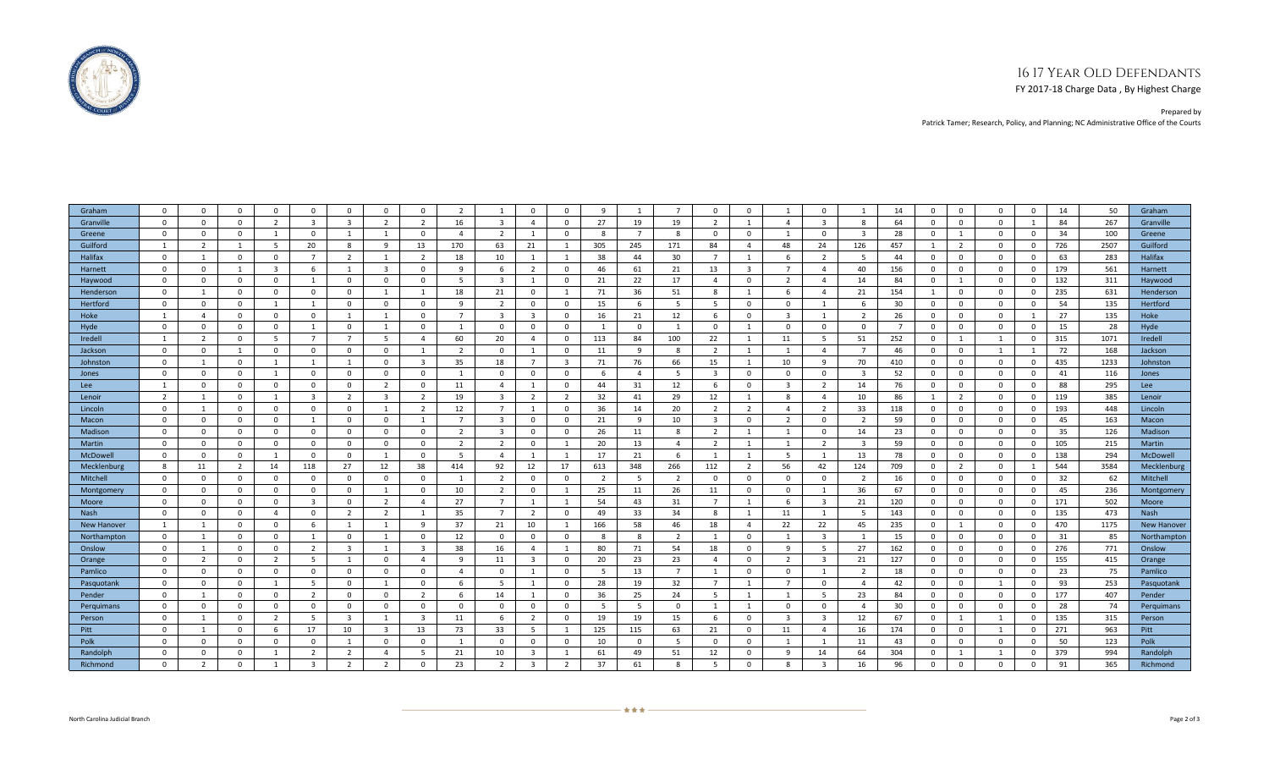## 16 17 Year Old Defendants

FY 2017-18 Charge Data , By Highest Charge

Prepared by Patrick Tamer; Research, Policy, and Planning; NC Administrative Office of the Courts

| Graham         | $\Omega$       | $\Omega$       | $\Omega$       | $\Omega$       | $\Omega$       | $\Omega$                | $\Omega$       | $\Omega$       | $\overline{2}$ |                | $\Omega$                | $\Omega$       | $\mathbf{q}$             |                | $\overline{7}$ | $\Omega$       | $\Omega$       |                | $\Omega$       | $\mathbf{1}$   | 14             | $\Omega$       | $\Omega$       | $\Omega$     | $\Omega$     | 14  | 50   | Graham      |
|----------------|----------------|----------------|----------------|----------------|----------------|-------------------------|----------------|----------------|----------------|----------------|-------------------------|----------------|--------------------------|----------------|----------------|----------------|----------------|----------------|----------------|----------------|----------------|----------------|----------------|--------------|--------------|-----|------|-------------|
| Granville      | $\mathbf{0}$   | $\mathbf 0$    | $\mathbf{0}$   | $\overline{2}$ | $\overline{3}$ | $\overline{\mathbf{3}}$ | $\overline{2}$ | $\overline{2}$ | 16             | $\overline{3}$ | $\overline{a}$          | $\mathbf{0}$   | 27                       | 19             | 19             | $\overline{2}$ | 1              | $\overline{a}$ | $\overline{3}$ | 8              | 64             | $\mathbf{0}$   | $\mathbf 0$    | $\mathbf{0}$ | $\mathbf{1}$ | 84  | 267  | Granville   |
| Greene         | $\mathbf{0}$   | $\mathbf 0$    | $\mathbf 0$    | $\overline{1}$ | $\Omega$       | $\overline{1}$          | 1              | $\Omega$       | $\overline{4}$ | 2              | $\overline{1}$          | $\Omega$       | -8                       | $\overline{7}$ | 8              | $\mathbf{0}$   | $\mathbf{0}$   | -1             | $\Omega$       | $\mathbf{3}$   | 28             | $\mathbf{0}$   | 1              | $\mathbf{0}$ | $\mathbf{0}$ | 34  | 100  | Greene      |
| Guilford       | 1              | $\overline{2}$ | $\overline{1}$ | -5             | 20             | 8                       | 9              | 13             | 170            | 63             | 21                      | $\mathbf{1}$   | 305                      | 245            | 171            | 84             | $\overline{4}$ | 48             | 24             | 126            | 457            | $\overline{1}$ | $\overline{2}$ | $\mathbf{0}$ | $\mathbf{0}$ | 726 | 2507 | Guilford    |
| Halifax        | $\mathbf{0}$   |                | $\Omega$       | $\Omega$       | $\overline{7}$ | $\overline{2}$          | $\overline{1}$ | 2              | 18             | 10             | $\mathbf{1}$            | $\overline{1}$ | 38                       | 44             | 30             | $\overline{7}$ | $\mathbf{1}$   | 6              | $\overline{2}$ | 5              | 44             | $\mathbf{0}$   | $\overline{0}$ | $\mathbf{0}$ | $\mathbf{0}$ | 63  | 283  | Halifax     |
| Harnett        | $\mathbf{0}$   | $\mathbf 0$    | $\mathbf{1}$   | $\overline{3}$ | 6              | $\overline{1}$          | $\mathbf{3}$   | $\mathbf{0}$   | 9              | -6             | $\overline{2}$          | $\Omega$       | 46                       | 61             | 21             | 13             | $\overline{3}$ | $\overline{7}$ | $\overline{4}$ | 40             | 156            | $\mathbf{0}$   | $\mathbf 0$    | $\mathbf{0}$ | $\mathbf{0}$ | 179 | 561  | Harnett     |
| Haywood        | $\mathbf{0}$   | $\Omega$       | $\mathbf 0$    | $\mathbf{0}$   | $\mathbf{1}$   | $\overline{0}$          | $\mathbf{0}$   | $\mathbf{0}$   | 5              | $\mathbf{R}$   |                         | $\Omega$       | 21                       | 22             | 17             | $\overline{4}$ | $\mathbf 0$    | 2              | $\overline{4}$ | 14             | 84             | $\mathbf{0}$   | $\mathbf{1}$   | $\mathbf{0}$ | $\mathbf{0}$ | 132 | 311  | Haywood     |
| Henderson      | $\Omega$       |                | $\Omega$       | $\Omega$       | $\Omega$       | $\Omega$                |                |                | 18             | 21             | $\Omega$                | $\overline{1}$ | 71                       | 36             | 51             | 8              | -1             | 6              | $\overline{4}$ | 21             | 154            |                | $\mathbf 0$    | $\Omega$     | $\Omega$     | 235 | 631  | Henderson   |
| Hertford       | $\mathbf 0$    | 0              | $\mathbf 0$    | -1             | $\mathbf{1}$   | $\mathbf{0}$            | $\mathbf{0}$   | $\mathbf{0}$   | -9             | 2              | $\mathbf 0$             | $\mathbf{0}$   | 15                       | 6              | - 5            | -5             | $\mathbf 0$    | $\mathbf 0$    | -1             | 6              | 30             | 0              | 0              | $\Omega$     | $\mathbf 0$  | 54  | 135  | Hertford    |
| Hoke           | $\mathbf{1}$   | $\Delta$       | $\Omega$       | $\mathbf{0}$   | $\mathbf{0}$   | $\mathbf{1}$            | $\mathbf{1}$   | $\mathbf{0}$   | $\overline{7}$ | $\mathbf{R}$   | $\overline{3}$          | $\Omega$       | 16                       | 21             | 12             | -6             | $\mathbf{0}$   | $\overline{3}$ | 1              | $\overline{2}$ | 26             | $\mathbf{0}$   | $\Omega$       | $\mathbf{0}$ | $\mathbf{1}$ | 27  | 135  | Hoke        |
| Hyde           | $\Omega$       | $\Omega$       | $\Omega$       | $\Omega$       | $\mathbf{1}$   | $\Omega$                |                | $\Omega$       |                | $\Omega$       | $\Omega$                | $\Omega$       | $\overline{\phantom{0}}$ | $\Omega$       | $\overline{1}$ | $\mathbf 0$    | $\mathbf{1}$   | $\Omega$       | $\Omega$       | $\mathbf 0$    | $\overline{7}$ | $\Omega$       | $\overline{0}$ | $\mathbf{0}$ | $\mathbf{0}$ | 15  | 28   | Hyde        |
| <b>Iredell</b> | 1              | 2              | $\mathbf 0$    | - 5            | $\overline{7}$ | $\overline{7}$          | - 5            | $\overline{4}$ | 60             | 20             | $\overline{4}$          | $\mathbf{0}$   | 113                      | 84             | 100            | 22             | 1              | 11             | - 5            | 51             | 252            | $\mathbf{0}$   | -1             | 1            | $\mathbf{0}$ | 315 | 1071 | Iredell     |
| Jackson        | $\mathbf{0}$   | $\mathbf 0$    | 1              | $^{\circ}$     | $\mathbf{0}$   | $\mathbf{0}$            | $\mathbf{0}$   | 1              | 2              | $\Omega$       | 1                       | $\mathbf{0}$   | 11                       | 9              | 8              | 2              | 1              | $\overline{1}$ | $\overline{4}$ | 7              | 46             | 0              | $\mathbf 0$    | 1            | 1            | 72  | 168  | Jackson     |
| Johnston       | $\mathbf{0}$   | 1              | $\mathbf 0$    | $\mathbf{1}$   | $\mathbf{1}$   | $\overline{1}$          | $\mathbf{0}$   | $\overline{3}$ | 35             | 18             | $\overline{7}$          | $\overline{3}$ | 71                       | 76             | 66             | 15             | 1              | 10             | 9              | 70             | 410            | $\mathbf 0$    | $\mathbf 0$    | $\mathbf{0}$ | $\mathbf{0}$ | 435 | 1233 | Johnston    |
| Jones          | $\mathbf{0}$   | $\mathbf 0$    | $\mathbf 0$    | 1              | $\mathbf{0}$   | $\overline{0}$          | $\mathbf{0}$   | $\mathbf{0}$   | 1              | $\mathbf{0}$   | $\mathbf 0$             | $^{\circ}$     | -6                       | $\overline{4}$ | - 5            | $\overline{3}$ | $\mathbf{0}$   | $\mathbf 0$    | $\mathbf{0}$   | 3              | 52             | $^{\circ}$     | $\mathbf 0$    | $\mathbf{0}$ | $\mathbf{0}$ | 41  | 116  | Jones       |
| Lee            | $\mathbf{1}$   | $\Omega$       | $\Omega$       | $\Omega$       | $\Omega$       | $\Omega$                | $\overline{2}$ | $\Omega$       | 11             | $\overline{a}$ | $\mathbf{1}$            | $\Omega$       | 44                       | 31             | 12             | 6              | $\Omega$       | $\overline{3}$ | $\overline{2}$ | 14             | 76             | $\mathbf{0}$   | $\Omega$       | $\Omega$     | $\Omega$     | 88  | 295  | Lee         |
| Lenoir         | $\overline{2}$ |                | $\Omega$       | -1             | $\overline{3}$ | $\overline{2}$          | $\mathbf{R}$   | $\overline{2}$ | 19             | $\overline{3}$ | $\overline{2}$          | $\overline{2}$ | 32                       | 41             | 29             | 12             | 1              | 8              | $\overline{4}$ | 10             | 86             | -1             | $\overline{2}$ | $\Omega$     | $\mathbf{0}$ | 119 | 385  | Lenoir      |
| Lincoln        | $\mathbf{0}$   | 1              | $\mathbf 0$    | $\mathbf{0}$   | $\mathbf{0}$   | $\overline{0}$          | 1              | 2              | 12             | $7^{\circ}$    | $\overline{1}$          | $^{\circ}$     | 36                       | 14             | 20             | $\overline{2}$ | 2              | $\overline{4}$ | $\overline{2}$ | 33             | 118            | $\mathbf 0$    | $\overline{0}$ | $\mathbf{0}$ | $\mathbf 0$  | 193 | 448  | Lincoln     |
| Macon          | $\Omega$       | $\Omega$       | $\Omega$       | $\Omega$       | $\mathbf{1}$   | $\Omega$                | $\Omega$       | $\mathbf{1}$   | $\overline{7}$ | $\mathbf{R}$   | $\Omega$                | $\Omega$       | 21                       | 9              | 10             | $\overline{3}$ | $\Omega$       | $\overline{2}$ | $\Omega$       | 2              | 59             | $\mathbf{0}$   | $\Omega$       | $\mathbf{0}$ | $\Omega$     | 45  | 163  | Macon       |
| Madison        | $\mathbf{0}$   | $\Omega$       | $\mathbf 0$    | $\Omega$       | $\Omega$       | $\overline{0}$          | $\mathbf{0}$   | $\Omega$       | 2              | $\mathbf{R}$   | $\Omega$                | $\Omega$       | 26                       | 11             | 8              | 2              | $\overline{1}$ |                | $\Omega$       | 14             | 23             | $\Omega$       | $\mathbf 0$    | $\Omega$     | $\Omega$     | 35  | 126  | Madison     |
| Martin         | $\mathbf 0$    | $\mathbf 0$    | $\mathbf 0$    | $\mathbf 0$    | $\mathbf{0}$   | $\mathbf 0$             | $\mathbf 0$    | $\mathbf 0$    | 2              | 2              | $\mathbf 0$             | 1              | 20                       | 13             | $\overline{a}$ | $\overline{2}$ | 1              | 1              | $\overline{2}$ | 3              | 59             | $\mathbf 0$    | $\mathbf 0$    | $\mathbf 0$  | $\mathbf 0$  | 105 | 215  | Martin      |
| McDowel        | $\Omega$       | $\Omega$       | $\Omega$       | -1             | $\Omega$       | $\Omega$                | $\mathbf{1}$   | $\Omega$       | -5             | $\Delta$       | $\mathbf{1}$            | $\overline{1}$ | 17                       | 21             | -6             | -1             | $\mathbf{1}$   | -5             | $\overline{1}$ | 13             | 78             | $\mathbf{0}$   | $\Omega$       | $\mathbf{0}$ | $\mathbf{0}$ | 138 | 294  | McDowell    |
| Mecklenburg    | 8              | 11             | $\overline{2}$ | 14             | 118            | 27                      | 12             | 38             | 414            | 92             | 12                      | 17             | 613                      | 348            | 266            | 112            | 2              | 56             | 42             | 124            | 709            | $\Omega$       | $\overline{2}$ | $\Omega$     | $\mathbf{1}$ | 544 | 3584 | Mecklenburg |
| Mitchell       | $\mathbf{0}$   | $\Omega$       | $\mathbf 0$    | $\mathbf{0}$   | $\overline{0}$ | $\overline{0}$          | $\mathbf{0}$   | $\mathbf{0}$   | 1              | $\overline{2}$ | $\overline{0}$          | $\mathbf{0}$   | $\overline{2}$           | -5             | 2              | $\mathbf{0}$   | $\mathbf{0}$   | $\mathbf{0}$   | $\mathbf{0}$   | $\overline{2}$ | 16             | $^{\circ}$     | $\mathbf 0$    | $\mathbf{0}$ | $\mathbf{0}$ | 32  | 62   | Mitchell    |
| Montgomery     | $\mathbf{0}$   | 0              | $\mathbf 0$    | $\mathbf 0$    | $\mathbf{0}$   | $\mathbf{0}$            | $\mathbf{1}$   | $\mathbf{0}$   | 10             | 2              | $\mathbf{0}$            | $\overline{1}$ | 25                       | 11             | 26             | 11             | $\mathbf{0}$   | $\mathbf 0$    | -1             | 36             | 67             | $\mathbf{0}$   | $\mathbf 0$    | $\mathbf 0$  | $\mathbf{0}$ | 45  | 236  | Montgomery  |
| Moore          | $\mathbf{0}$   | $\mathbf 0$    | $\mathbf 0$    | $\Omega$       | $\overline{3}$ | $\overline{0}$          | 2              | $\overline{a}$ | 27             | $\overline{7}$ | $\overline{1}$          | $\overline{1}$ | 54                       | 43             | 31             | $\overline{7}$ | $\mathbf{1}$   | -6             | $\overline{3}$ | 21             | 120            | $\mathbf{0}$   | $\mathbf 0$    | $\mathbf{0}$ | $\mathbf{0}$ | 171 | 502  | Moore       |
| Nash           | $\mathbf{0}$   | $\Omega$       | $\mathbf{0}$   | $\overline{a}$ | $\mathbf{0}$   | 2                       | $\overline{2}$ | $\overline{1}$ | 35             | $\overline{7}$ | $\overline{2}$          | $\Omega$       | 49                       | 33             | 34             | 8              | 1              | 11             | 1              | 5              | 143            | $\mathbf{0}$   | $\mathbf 0$    | $\Omega$     | $\mathbf{0}$ | 135 | 473  | Nash        |
| New Hanover    | $\overline{1}$ |                | $\Omega$       | $\Omega$       | 6              | $\overline{1}$          |                | -9             | 37             | 21             | 10                      | $\overline{1}$ | 166                      | 58             | 46             | 18             | $\overline{4}$ | 22             | 22             | 45             | 235            | $\mathbf{0}$   | -1             | $\Omega$     | $\mathbf{0}$ | 470 | 1175 | New Hanover |
| Northampton    | $\mathbf{0}$   | 1              | $\Omega$       | $\Omega$       | $\mathbf{1}$   | $\overline{0}$          | $\overline{1}$ | $\mathbf{0}$   | 12             | $\Omega$       | $\overline{0}$          | $\mathbf{0}$   | -8                       | 8              | $\overline{2}$ | -1             | $\mathbf 0$    |                | $\overline{3}$ | $\mathbf{1}$   | 15             | $\mathbf{0}$   | $\mathbf 0$    | $\mathbf{0}$ | $\mathbf{0}$ | 31  | 85   | Northampton |
| Onslow         | $\mathbf{0}$   | 1              | $\mathbf 0$    | $\mathbf{0}$   | $\overline{2}$ | $\overline{\mathbf{3}}$ | $\overline{1}$ | $\overline{3}$ | 38             | 16             | $\overline{4}$          | $\mathbf{1}$   | 80                       | 71             | 54             | 18             | $\mathbf{0}$   | 9              | - 5            | 27             | 162            | $^{\circ}$     | $\overline{0}$ | $\mathbf{0}$ | $\mathbf{0}$ | 276 | 771  | Onslow      |
| Orange         | $^{\circ}$     | 2              | $\mathbf 0$    | 2              | 5              | $\overline{1}$          | $\Omega$       | $\overline{a}$ | -9             | 11             | $\overline{3}$          | $\Omega$       | 20                       | 23             | 23             | $\mathbf{A}$   | $\mathbf 0$    | $\overline{2}$ | $\overline{3}$ | 21             | 127            | $\mathbf{0}$   | $\mathbf 0$    | $\Omega$     | $\mathbf{0}$ | 155 | 415  | Orange      |
| Pamlico        | $\Omega$       | $\mathbf 0$    | $\mathbf 0$    | $\Omega$       | $\mathbf{0}$   | $\overline{0}$          | $\mathbf{0}$   | $\mathbf{0}$   | $\overline{4}$ | $\Omega$       | $\overline{1}$          | $\Omega$       | - 5                      | 13             | $\overline{7}$ | 1              | $\mathbf 0$    | $\Omega$       | 1              | $\overline{2}$ | 18             | $\mathbf{0}$   | $\mathbf 0$    | $^{\circ}$   | $\Omega$     | 23  | 75   | Pamlico     |
| Pasquotank     | $\mathbf{0}$   | $\mathbf 0$    | $\mathbf 0$    | $\mathbf{1}$   | 5              | $\overline{0}$          | 1              | $\mathbf{0}$   | 6              | -5             | $\overline{1}$          | $\mathbf{0}$   | 28                       | 19             | 32             | $\overline{7}$ | 1              | $\overline{7}$ | $\mathbf{0}$   | 4              | 42             | $\mathbf{0}$   | $\mathbf 0$    | 1            | $\mathbf{0}$ | 93  | 253  | Pasquotank  |
| Pender         | $\mathbf{0}$   | -1             | $\mathbf 0$    | $^{\circ}$     | 2              | $\mathbf{0}$            | $\mathbf{0}$   | 2              | -6             | 14             | $\mathbf{1}$            | $\mathbf{0}$   | 36                       | 25             | 24             | -5             | 1              | $\mathbf{1}$   | -5             | 23             | 84             | $\mathbf{0}$   | $\mathbf 0$    | $^{\circ}$   | $\mathbf{0}$ | 177 | 407  | Pender      |
| Perquimans     | $\mathbf{0}$   | $\Omega$       | $\Omega$       | $\mathbf{0}$   | $\mathbf{0}$   | $\overline{0}$          | $\mathbf{0}$   | $\mathbf{0}$   | $\mathbf{0}$   | $\Omega$       | $\overline{0}$          | $\mathbf{0}$   | - 5                      | -5             | $\mathbf{0}$   | 1              | 1              | $\Omega$       | $\mathbf{0}$   | $\overline{a}$ | 30             | $\mathbf{0}$   | $\mathbf 0$    | $\mathbf{0}$ | $\mathbf{0}$ | 28  | 74   | Perguimans  |
| Person         | $\Omega$       | $\mathbf{1}$   | $\Omega$       | $\overline{2}$ | -5             | $\overline{3}$          | 1              | $\overline{3}$ | 11             | -6             | $\overline{2}$          | $\Omega$       | 19                       | 19             | 15             | -6             | $\Omega$       | $\overline{3}$ | $\overline{3}$ | 12             | 67             | $\mathbf{0}$   | $\overline{1}$ | 1            | $\Omega$     | 135 | 315  | Person      |
| Pitt           | $\mathbf{0}$   | -1             | $\mathbf 0$    | -6             | 17             | 10                      | $\overline{3}$ | 13             | 73             | 33             | 5                       | 1              | 125                      | 115            | 63             | 21             | $\mathbf 0$    | 11             | $\overline{4}$ | 16             | 174            | $\mathbf{0}$   | $\mathbf 0$    | 1            | $\mathbf{0}$ | 271 | 963  | Pitt        |
| Polk           | $\mathbf{0}$   | $\Omega$       | $\mathbf 0$    | $\Omega$       | $\mathbf 0$    |                         | $\mathbf{0}$   | $\mathbf{0}$   | 1              | $\Omega$       | $\Omega$                | $\mathbf{0}$   | 10                       | $\Omega$       | - 5            | $\Omega$       | $\mathbf{0}$   |                | $\mathbf{1}$   | 11             | 43             | $^{\circ}$     | $\mathbf 0$    | $\mathbf{0}$ | $\Omega$     | 50  | 123  | Polk        |
| Randolph       | $\mathbf{0}$   | $\Omega$       | $\mathbf 0$    | $\overline{1}$ | $\overline{2}$ | $\overline{2}$          | $\overline{4}$ | -5             | 21             | 10             | $\overline{\mathbf{3}}$ | $\overline{1}$ | 61                       | 49             | 51             | 12             | $\mathbf 0$    | $\mathbf{q}$   | 14             | 64             | 304            | $^{\circ}$     |                |              | $\Omega$     | 379 | 994  | Randolph    |
| Richmond       | $\Omega$       | $\overline{2}$ | $\Omega$       | $\overline{1}$ | 3              | $\overline{2}$          | 2              | $\Omega$       | 23             | 2              | $\overline{\mathbf{3}}$ | $\overline{2}$ | 37                       | 61             | -8             | -5             | $\Omega$       | 8              | $\overline{3}$ | 16             | 96             | $\Omega$       | $\Omega$       | $\Omega$     | $\Omega$     | 91  | 365  | Richmond    |